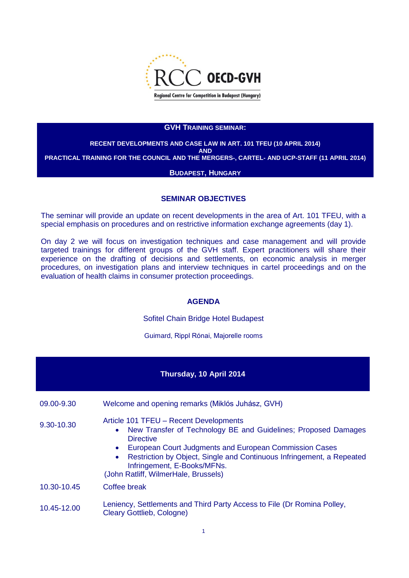

#### **GVH TRAINING SEMINAR:**

### **RECENT DEVELOPMENTS AND CASE LAW IN ART. 101 TFEU (10 APRIL 2014) AND PRACTICAL TRAINING FOR THE COUNCIL AND THE MERGERS-, CARTEL- AND UCP-STAFF (11 APRIL 2014)**

#### **BUDAPEST, HUNGARY**

#### **SEMINAR OBJECTIVES**

The seminar will provide an update on recent developments in the area of Art. 101 TFEU, with a special emphasis on procedures and on restrictive information exchange agreements (day 1).

On day 2 we will focus on investigation techniques and case management and will provide targeted trainings for different groups of the GVH staff. Expert practitioners will share their experience on the drafting of decisions and settlements, on economic analysis in merger procedures, on investigation plans and interview techniques in cartel proceedings and on the evaluation of health claims in consumer protection proceedings.

#### **AGENDA**

Sofitel Chain Bridge Hotel Budapest

Guimard, Rippl Rónai, Majorelle rooms

#### **Thursday, 10 April 2014**

09.00-9.30 Welcome and opening remarks (Miklós Juhász, GVH)

- 9.30-10.30 Article 101 TFEU Recent Developments
	- New Transfer of Technology BE and Guidelines; Proposed Damages **Directive**
	- European Court Judgments and European Commission Cases
	- Restriction by Object, Single and Continuous Infringement, a Repeated Infringement, E-Books/MFNs.

(John Ratliff, WilmerHale, Brussels)

10.30-10.45 Coffee break

10.45-12.00 Leniency, Settlements and Third Party Access to File (Dr Romina Polley, Cleary Gottlieb, Cologne)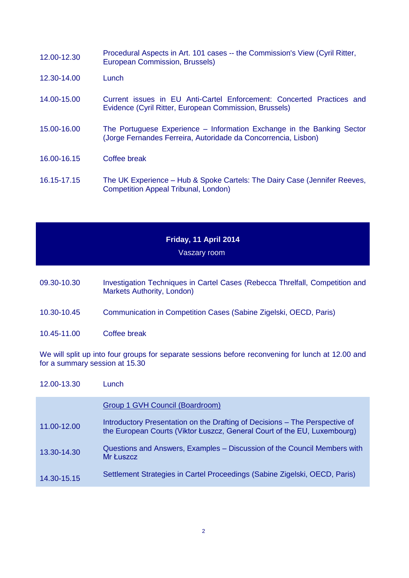| 12.00-12.30 | Procedural Aspects in Art. 101 cases -- the Commission's View (Cyril Ritter,<br>European Commission, Brussels)                           |
|-------------|------------------------------------------------------------------------------------------------------------------------------------------|
| 12.30-14.00 | Lunch                                                                                                                                    |
| 14.00-15.00 | Current issues in EU Anti-Cartel Enforcement: Concerted Practices and<br>Evidence (Cyril Ritter, European Commission, Brussels)          |
| 15.00-16.00 | The Portuguese Experience – Information Exchange in the Banking Sector<br>(Jorge Fernandes Ferreira, Autoridade da Concorrencia, Lisbon) |
| 16.00-16.15 | Coffee break                                                                                                                             |
| 16.15-17.15 | The UK Experience – Hub & Spoke Cartels: The Dairy Case (Jennifer Reeves,<br>Competition Appeal Tribunal, London)                        |

# **Friday, 11 April 2014**

## Vaszary room

- 09.30-10.30 Investigation Techniques in Cartel Cases (Rebecca Threlfall, Competition and Markets Authority, London)
- 10.30-10.45 Communication in Competition Cases (Sabine Zigelski, OECD, Paris)
- 10.45-11.00 Coffee break

We will split up into four groups for separate sessions before reconvening for lunch at 12.00 and for a summary session at 15.30

| 12.00-13.30 | Lunch                                                                                                                                                   |
|-------------|---------------------------------------------------------------------------------------------------------------------------------------------------------|
|             | Group 1 GVH Council (Boardroom)                                                                                                                         |
| 11.00-12.00 | Introductory Presentation on the Drafting of Decisions – The Perspective of<br>the European Courts (Viktor Łuszcz, General Court of the EU, Luxembourg) |
| 13.30-14.30 | Questions and Answers, Examples – Discussion of the Council Members with<br>Mr Łuszcz                                                                   |
| 14.30-15.15 | Settlement Strategies in Cartel Proceedings (Sabine Zigelski, OECD, Paris)                                                                              |